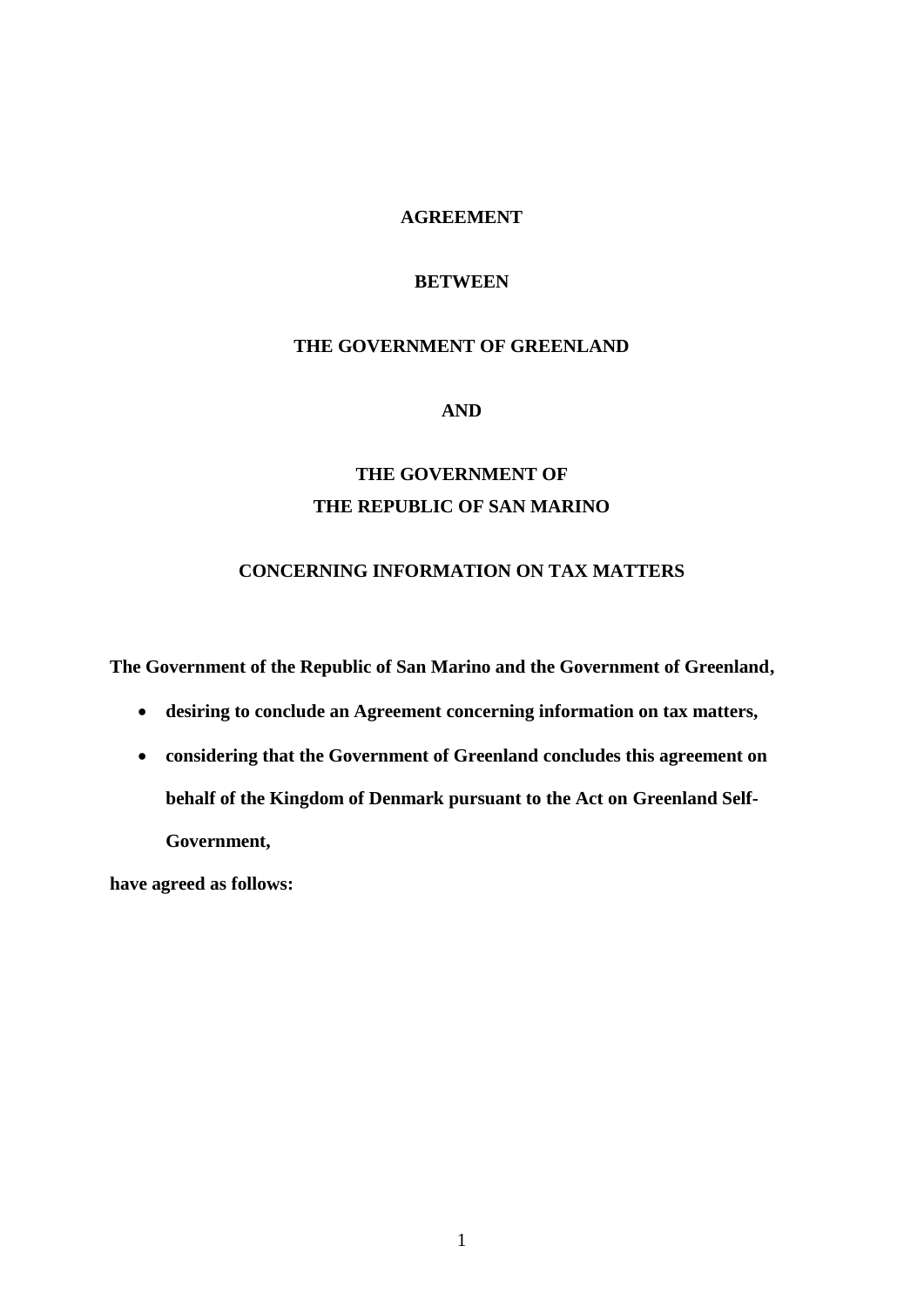### **AGREEMENT**

### **BETWEEN**

#### **THE GOVERNMENT OF GREENLAND**

#### **AND**

# **THE GOVERNMENT OF THE REPUBLIC OF SAN MARINO**

#### **CONCERNING INFORMATION ON TAX MATTERS**

**The Government of the Republic of San Marino and the Government of Greenland,**

- **desiring to conclude an Agreement concerning information on tax matters,**
- **considering that the Government of Greenland concludes this agreement on behalf of the Kingdom of Denmark pursuant to the Act on Greenland Self-Government,**

**have agreed as follows:**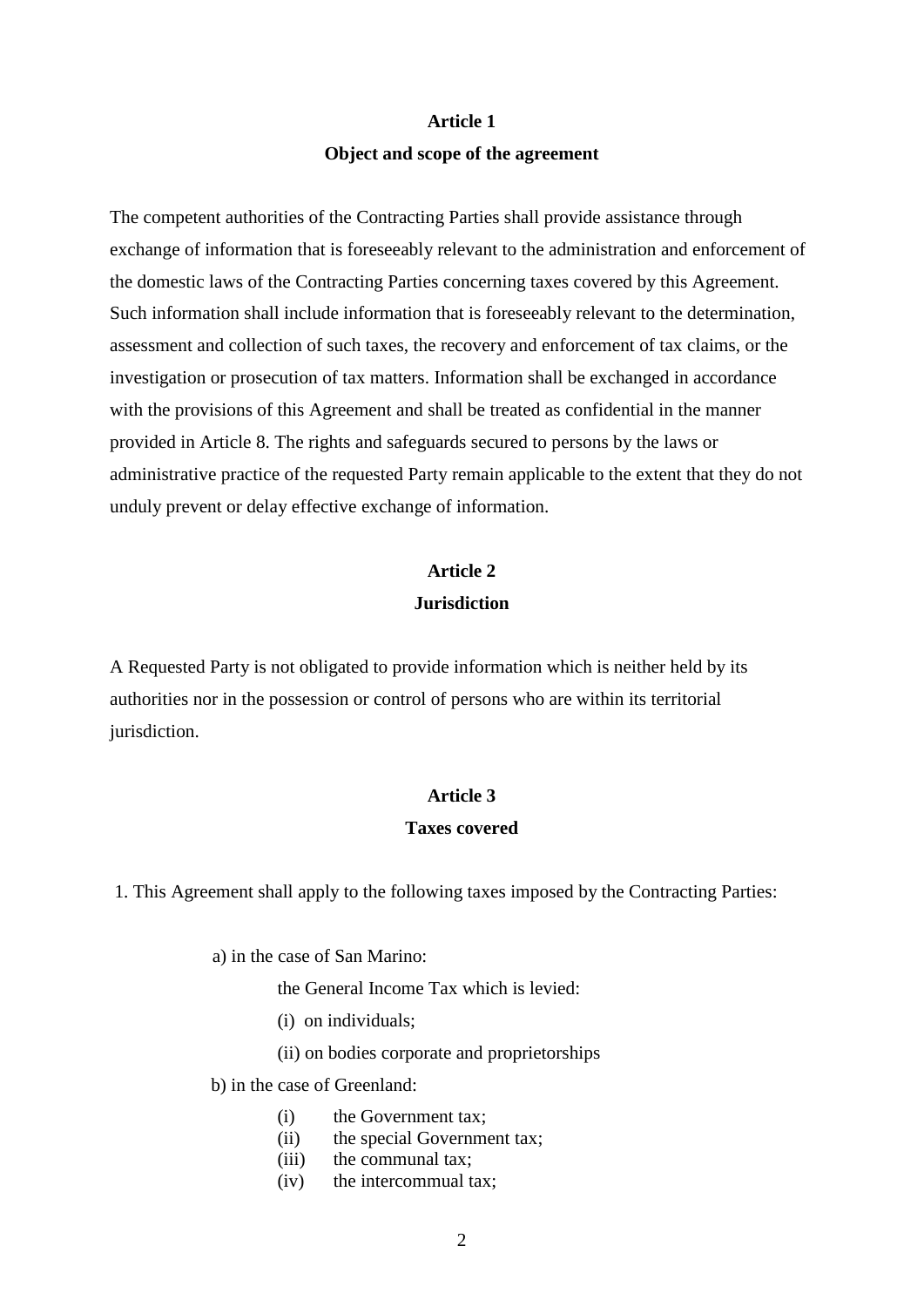## **Article 1 Object and scope of the agreement**

The competent authorities of the Contracting Parties shall provide assistance through exchange of information that is foreseeably relevant to the administration and enforcement of the domestic laws of the Contracting Parties concerning taxes covered by this Agreement. Such information shall include information that is foreseeably relevant to the determination, assessment and collection of such taxes, the recovery and enforcement of tax claims, or the investigation or prosecution of tax matters. Information shall be exchanged in accordance with the provisions of this Agreement and shall be treated as confidential in the manner provided in Article 8. The rights and safeguards secured to persons by the laws or administrative practice of the requested Party remain applicable to the extent that they do not unduly prevent or delay effective exchange of information.

# **Article 2**

### **Jurisdiction**

A Requested Party is not obligated to provide information which is neither held by its authorities nor in the possession or control of persons who are within its territorial jurisdiction.

### **Article 3**

### **Taxes covered**

1. This Agreement shall apply to the following taxes imposed by the Contracting Parties:

a) in the case of San Marino:

the General Income Tax which is levied:

- (i) on individuals;
- (ii) on bodies corporate and proprietorships

b) in the case of Greenland:

- (i) the Government tax;
- (ii) the special Government tax;
- (iii) the communal tax;
- (iv) the intercommual tax;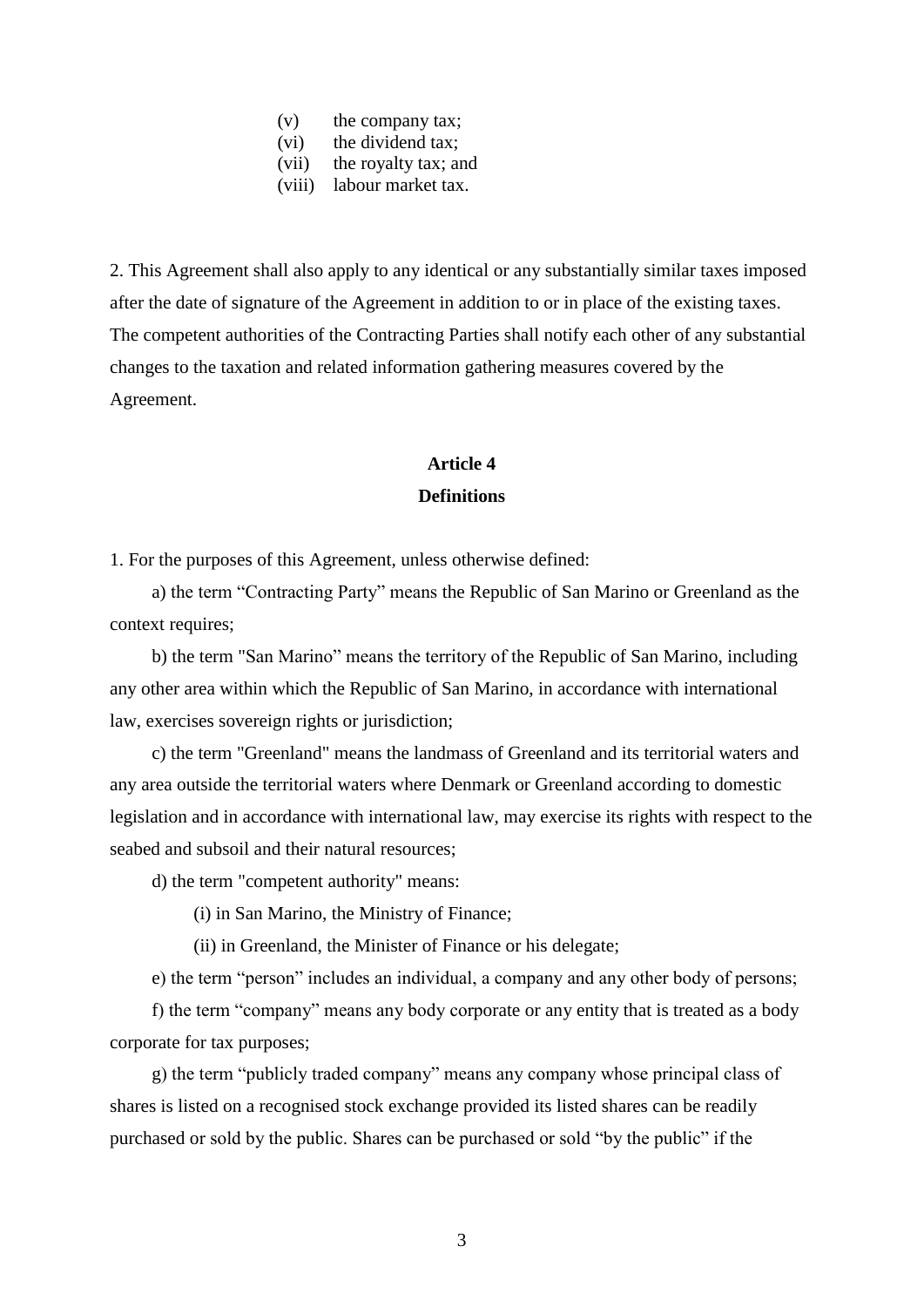- (v) the company tax;
- (vi) the dividend tax;
- (vii) the royalty tax; and
- (viii) labour market tax.

2. This Agreement shall also apply to any identical or any substantially similar taxes imposed after the date of signature of the Agreement in addition to or in place of the existing taxes. The competent authorities of the Contracting Parties shall notify each other of any substantial changes to the taxation and related information gathering measures covered by the Agreement.

### **Article 4 Definitions**

1. For the purposes of this Agreement, unless otherwise defined:

a) the term "Contracting Party" means the Republic of San Marino or Greenland as the context requires;

b) the term "San Marino" means the territory of the Republic of San Marino, including any other area within which the Republic of San Marino, in accordance with international law, exercises sovereign rights or jurisdiction;

c) the term "Greenland" means the landmass of Greenland and its territorial waters and any area outside the territorial waters where Denmark or Greenland according to domestic legislation and in accordance with international law, may exercise its rights with respect to the seabed and subsoil and their natural resources;

d) the term "competent authority" means:

(i) in San Marino, the Ministry of Finance;

(ii) in Greenland, the Minister of Finance or his delegate;

e) the term "person" includes an individual, a company and any other body of persons;

f) the term "company" means any body corporate or any entity that is treated as a body corporate for tax purposes;

g) the term "publicly traded company" means any company whose principal class of shares is listed on a recognised stock exchange provided its listed shares can be readily purchased or sold by the public. Shares can be purchased or sold "by the public" if the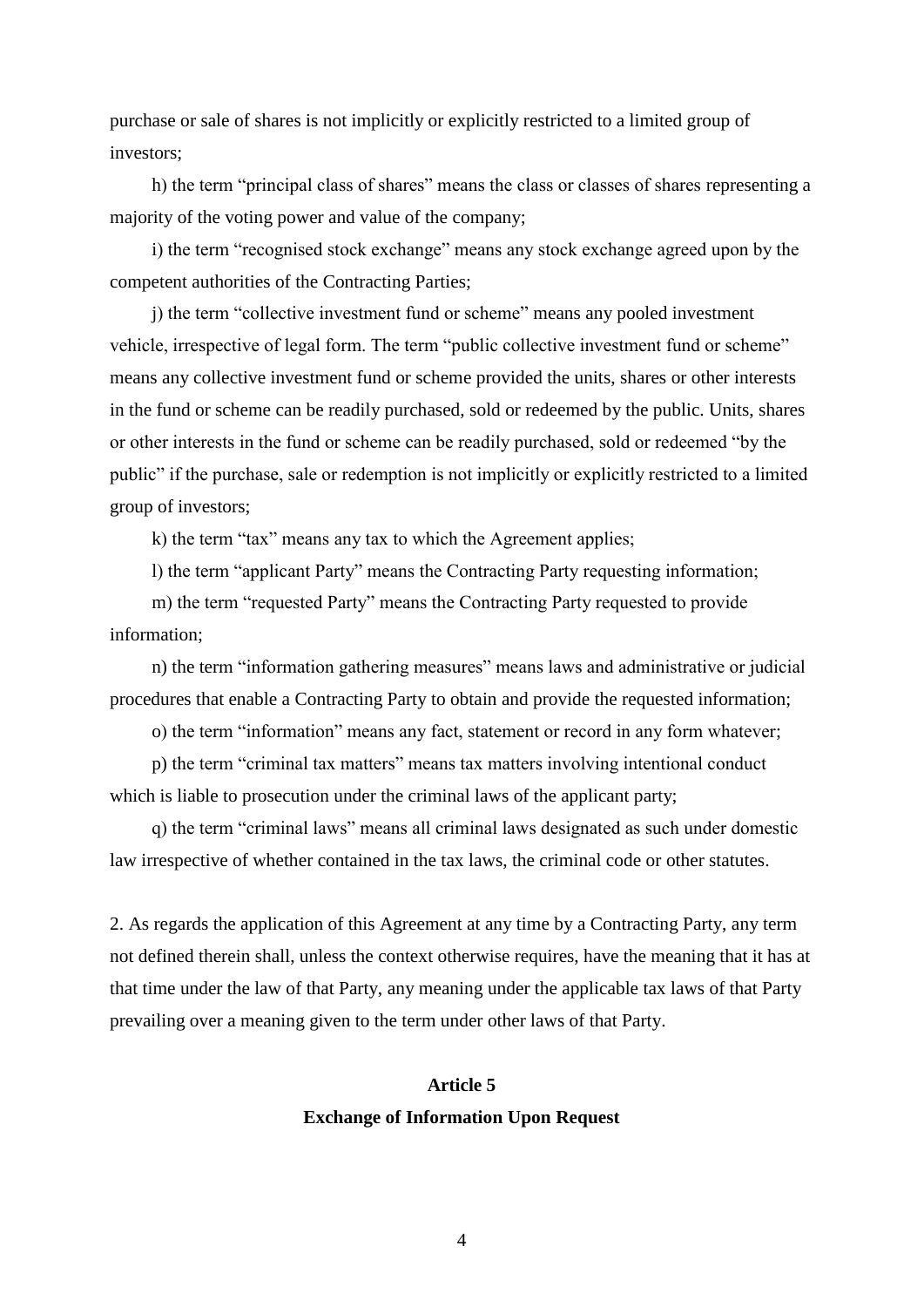purchase or sale of shares is not implicitly or explicitly restricted to a limited group of investors;

h) the term "principal class of shares" means the class or classes of shares representing a majority of the voting power and value of the company;

i) the term "recognised stock exchange" means any stock exchange agreed upon by the competent authorities of the Contracting Parties;

j) the term "collective investment fund or scheme" means any pooled investment vehicle, irrespective of legal form. The term "public collective investment fund or scheme" means any collective investment fund or scheme provided the units, shares or other interests in the fund or scheme can be readily purchased, sold or redeemed by the public. Units, shares or other interests in the fund or scheme can be readily purchased, sold or redeemed "by the public" if the purchase, sale or redemption is not implicitly or explicitly restricted to a limited group of investors;

k) the term "tax" means any tax to which the Agreement applies;

l) the term "applicant Party" means the Contracting Party requesting information;

m) the term "requested Party" means the Contracting Party requested to provide information;

n) the term "information gathering measures" means laws and administrative or judicial procedures that enable a Contracting Party to obtain and provide the requested information;

o) the term "information" means any fact, statement or record in any form whatever;

p) the term "criminal tax matters" means tax matters involving intentional conduct which is liable to prosecution under the criminal laws of the applicant party;

q) the term "criminal laws" means all criminal laws designated as such under domestic law irrespective of whether contained in the tax laws, the criminal code or other statutes.

2. As regards the application of this Agreement at any time by a Contracting Party, any term not defined therein shall, unless the context otherwise requires, have the meaning that it has at that time under the law of that Party, any meaning under the applicable tax laws of that Party prevailing over a meaning given to the term under other laws of that Party.

### **Article 5 Exchange of Information Upon Request**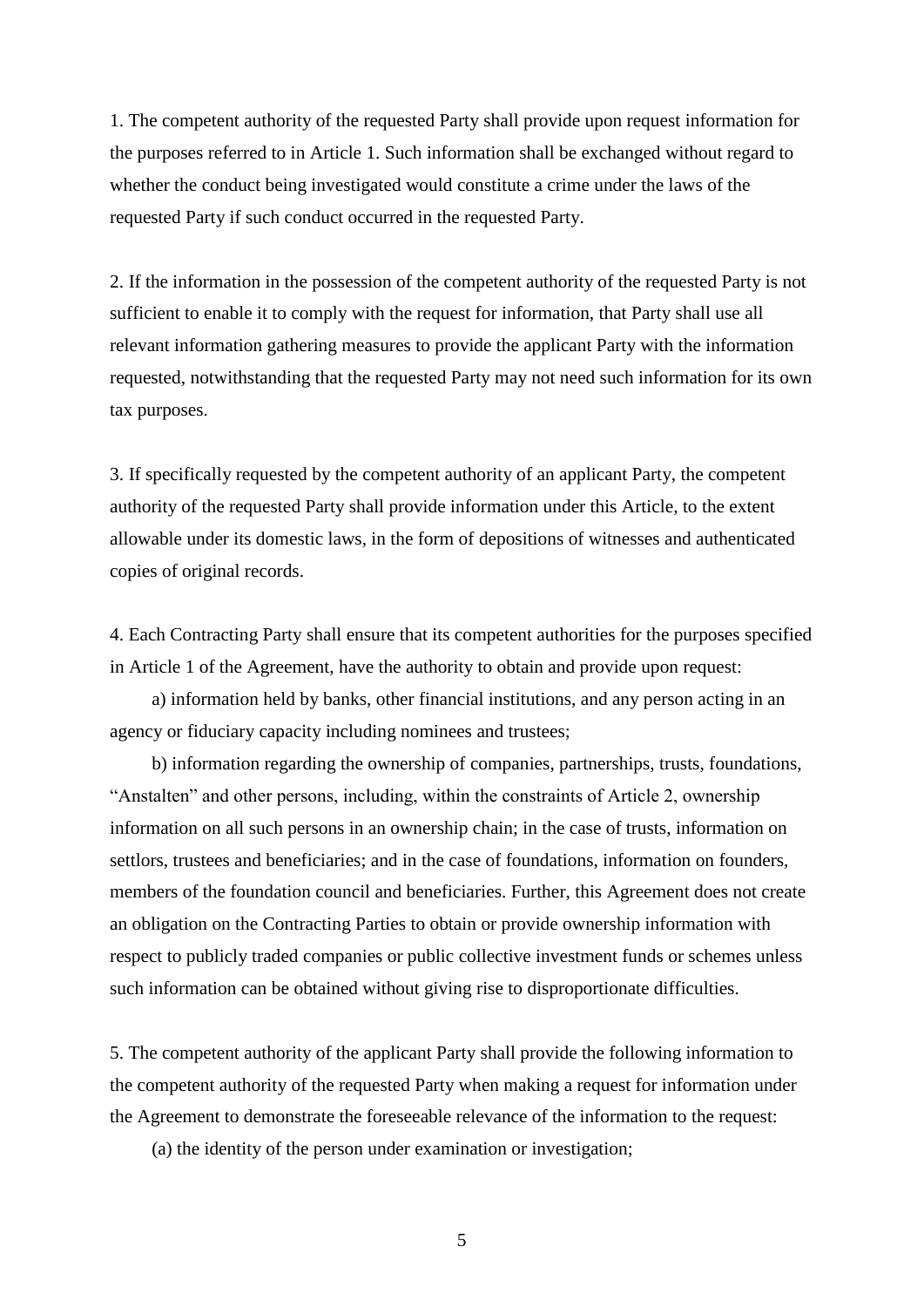1. The competent authority of the requested Party shall provide upon request information for the purposes referred to in Article 1. Such information shall be exchanged without regard to whether the conduct being investigated would constitute a crime under the laws of the requested Party if such conduct occurred in the requested Party.

2. If the information in the possession of the competent authority of the requested Party is not sufficient to enable it to comply with the request for information, that Party shall use all relevant information gathering measures to provide the applicant Party with the information requested, notwithstanding that the requested Party may not need such information for its own tax purposes.

3. If specifically requested by the competent authority of an applicant Party, the competent authority of the requested Party shall provide information under this Article, to the extent allowable under its domestic laws, in the form of depositions of witnesses and authenticated copies of original records.

4. Each Contracting Party shall ensure that its competent authorities for the purposes specified in Article 1 of the Agreement, have the authority to obtain and provide upon request:

a) information held by banks, other financial institutions, and any person acting in an agency or fiduciary capacity including nominees and trustees;

b) information regarding the ownership of companies, partnerships, trusts, foundations, "Anstalten" and other persons, including, within the constraints of Article 2, ownership information on all such persons in an ownership chain; in the case of trusts, information on settlors, trustees and beneficiaries; and in the case of foundations, information on founders, members of the foundation council and beneficiaries. Further, this Agreement does not create an obligation on the Contracting Parties to obtain or provide ownership information with respect to publicly traded companies or public collective investment funds or schemes unless such information can be obtained without giving rise to disproportionate difficulties.

5. The competent authority of the applicant Party shall provide the following information to the competent authority of the requested Party when making a request for information under the Agreement to demonstrate the foreseeable relevance of the information to the request:

(a) the identity of the person under examination or investigation;

5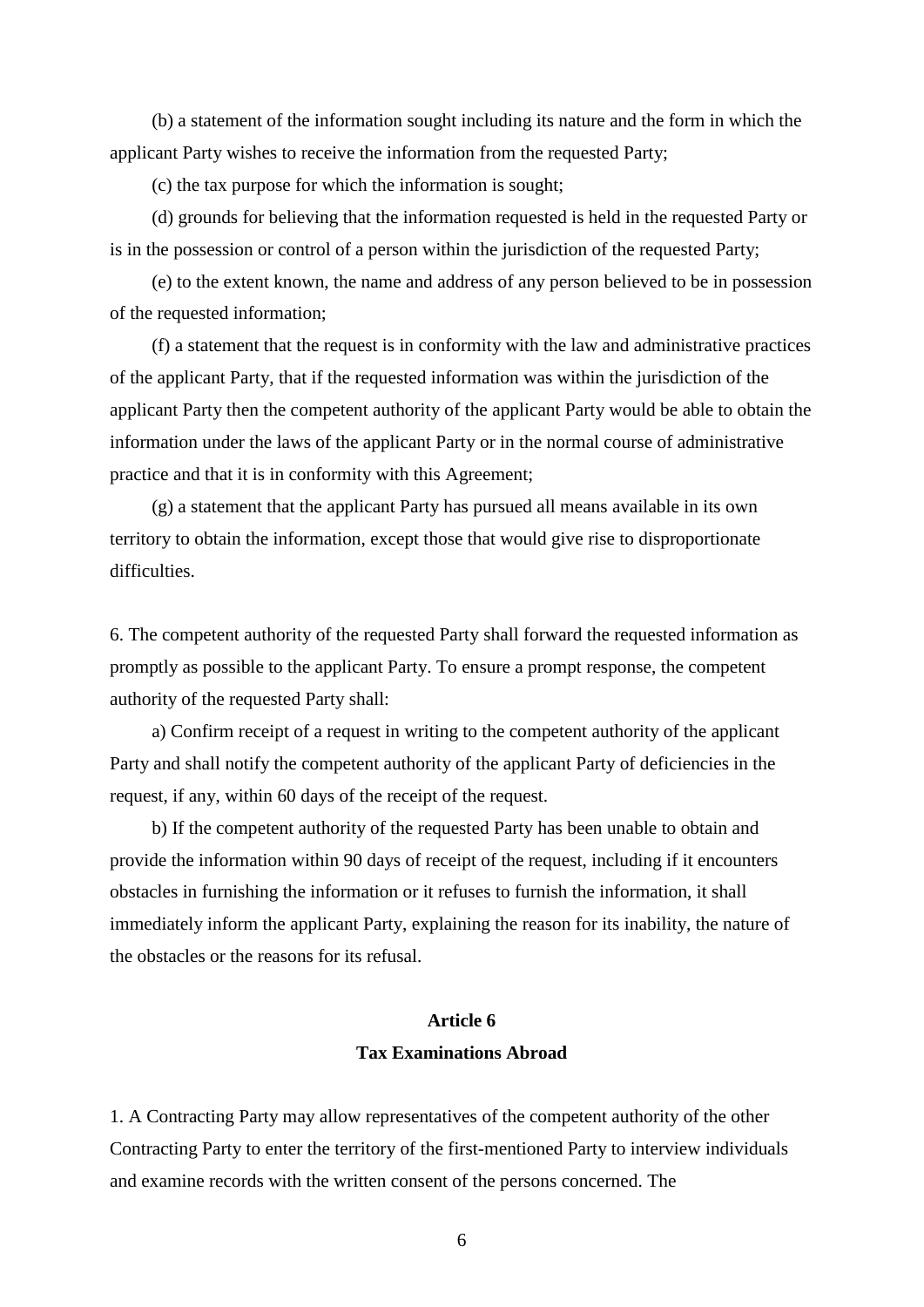(b) a statement of the information sought including its nature and the form in which the applicant Party wishes to receive the information from the requested Party;

(c) the tax purpose for which the information is sought;

(d) grounds for believing that the information requested is held in the requested Party or is in the possession or control of a person within the jurisdiction of the requested Party;

(e) to the extent known, the name and address of any person believed to be in possession of the requested information;

(f) a statement that the request is in conformity with the law and administrative practices of the applicant Party, that if the requested information was within the jurisdiction of the applicant Party then the competent authority of the applicant Party would be able to obtain the information under the laws of the applicant Party or in the normal course of administrative practice and that it is in conformity with this Agreement;

(g) a statement that the applicant Party has pursued all means available in its own territory to obtain the information, except those that would give rise to disproportionate difficulties.

6. The competent authority of the requested Party shall forward the requested information as promptly as possible to the applicant Party. To ensure a prompt response, the competent authority of the requested Party shall:

a) Confirm receipt of a request in writing to the competent authority of the applicant Party and shall notify the competent authority of the applicant Party of deficiencies in the request, if any, within 60 days of the receipt of the request.

b) If the competent authority of the requested Party has been unable to obtain and provide the information within 90 days of receipt of the request, including if it encounters obstacles in furnishing the information or it refuses to furnish the information, it shall immediately inform the applicant Party, explaining the reason for its inability, the nature of the obstacles or the reasons for its refusal.

### **Article 6 Tax Examinations Abroad**

1. A Contracting Party may allow representatives of the competent authority of the other Contracting Party to enter the territory of the first-mentioned Party to interview individuals and examine records with the written consent of the persons concerned. The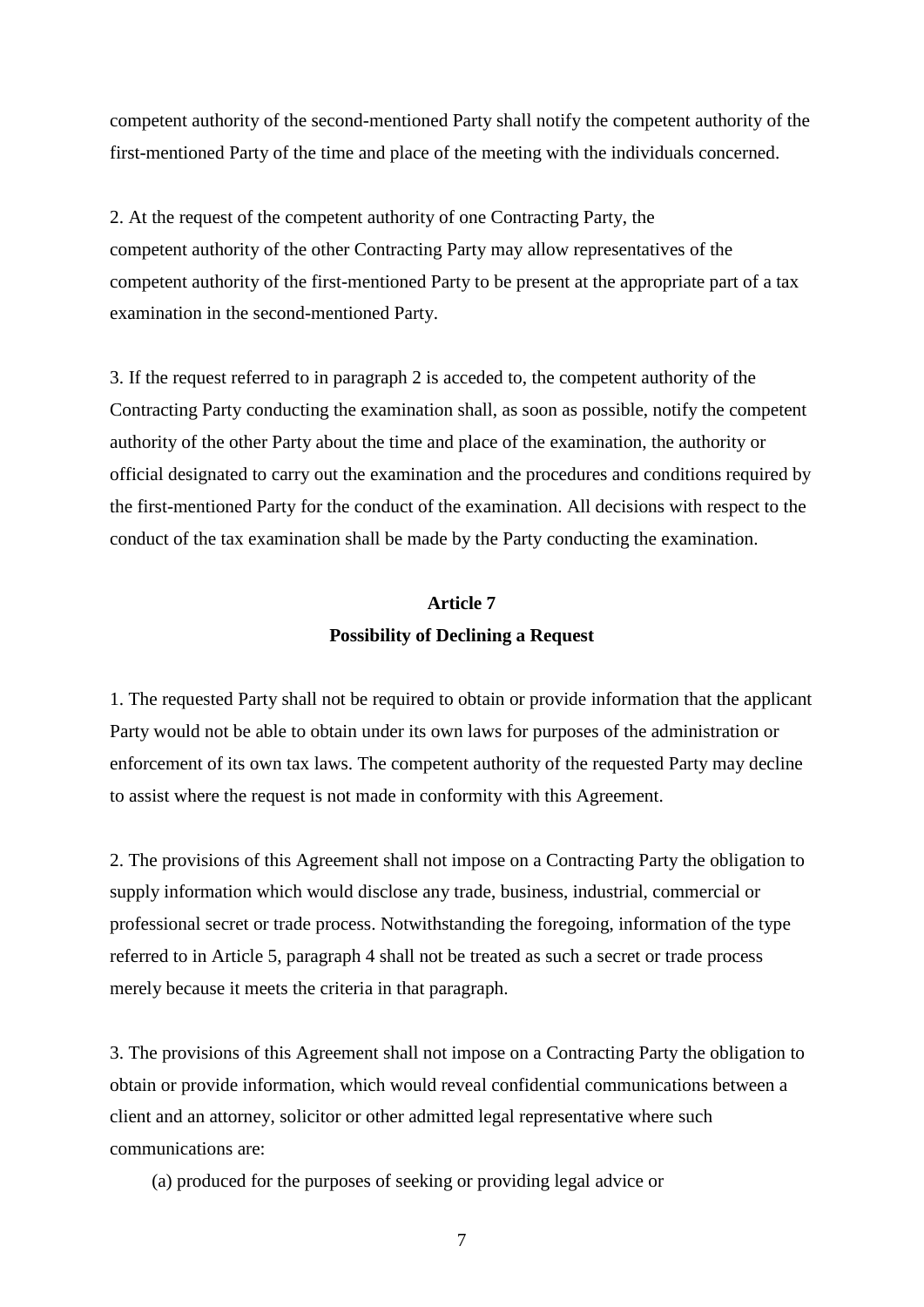competent authority of the second-mentioned Party shall notify the competent authority of the first-mentioned Party of the time and place of the meeting with the individuals concerned.

2. At the request of the competent authority of one Contracting Party, the competent authority of the other Contracting Party may allow representatives of the competent authority of the first-mentioned Party to be present at the appropriate part of a tax examination in the second-mentioned Party.

3. If the request referred to in paragraph 2 is acceded to, the competent authority of the Contracting Party conducting the examination shall, as soon as possible, notify the competent authority of the other Party about the time and place of the examination, the authority or official designated to carry out the examination and the procedures and conditions required by the first-mentioned Party for the conduct of the examination. All decisions with respect to the conduct of the tax examination shall be made by the Party conducting the examination.

## **Article 7 Possibility of Declining a Request**

1. The requested Party shall not be required to obtain or provide information that the applicant Party would not be able to obtain under its own laws for purposes of the administration or enforcement of its own tax laws. The competent authority of the requested Party may decline to assist where the request is not made in conformity with this Agreement.

2. The provisions of this Agreement shall not impose on a Contracting Party the obligation to supply information which would disclose any trade, business, industrial, commercial or professional secret or trade process. Notwithstanding the foregoing, information of the type referred to in Article 5, paragraph 4 shall not be treated as such a secret or trade process merely because it meets the criteria in that paragraph.

3. The provisions of this Agreement shall not impose on a Contracting Party the obligation to obtain or provide information, which would reveal confidential communications between a client and an attorney, solicitor or other admitted legal representative where such communications are:

(a) produced for the purposes of seeking or providing legal advice or

7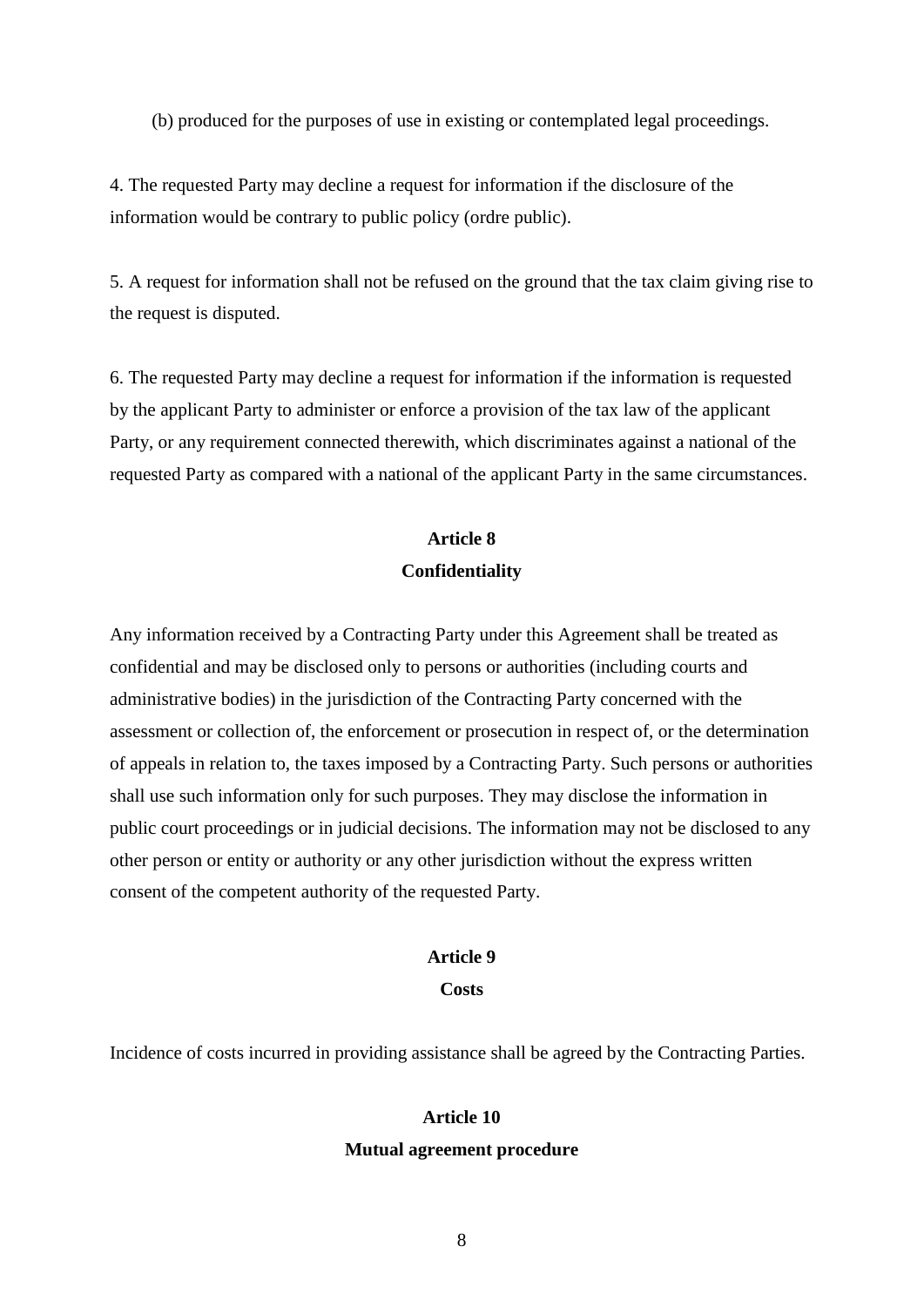(b) produced for the purposes of use in existing or contemplated legal proceedings.

4. The requested Party may decline a request for information if the disclosure of the information would be contrary to public policy (ordre public).

5. A request for information shall not be refused on the ground that the tax claim giving rise to the request is disputed.

6. The requested Party may decline a request for information if the information is requested by the applicant Party to administer or enforce a provision of the tax law of the applicant Party, or any requirement connected therewith, which discriminates against a national of the requested Party as compared with a national of the applicant Party in the same circumstances.

## **Article 8 Confidentiality**

Any information received by a Contracting Party under this Agreement shall be treated as confidential and may be disclosed only to persons or authorities (including courts and administrative bodies) in the jurisdiction of the Contracting Party concerned with the assessment or collection of, the enforcement or prosecution in respect of, or the determination of appeals in relation to, the taxes imposed by a Contracting Party. Such persons or authorities shall use such information only for such purposes. They may disclose the information in public court proceedings or in judicial decisions. The information may not be disclosed to any other person or entity or authority or any other jurisdiction without the express written consent of the competent authority of the requested Party.

### **Article 9 Costs**

Incidence of costs incurred in providing assistance shall be agreed by the Contracting Parties.

### **Article 10**

#### **Mutual agreement procedure**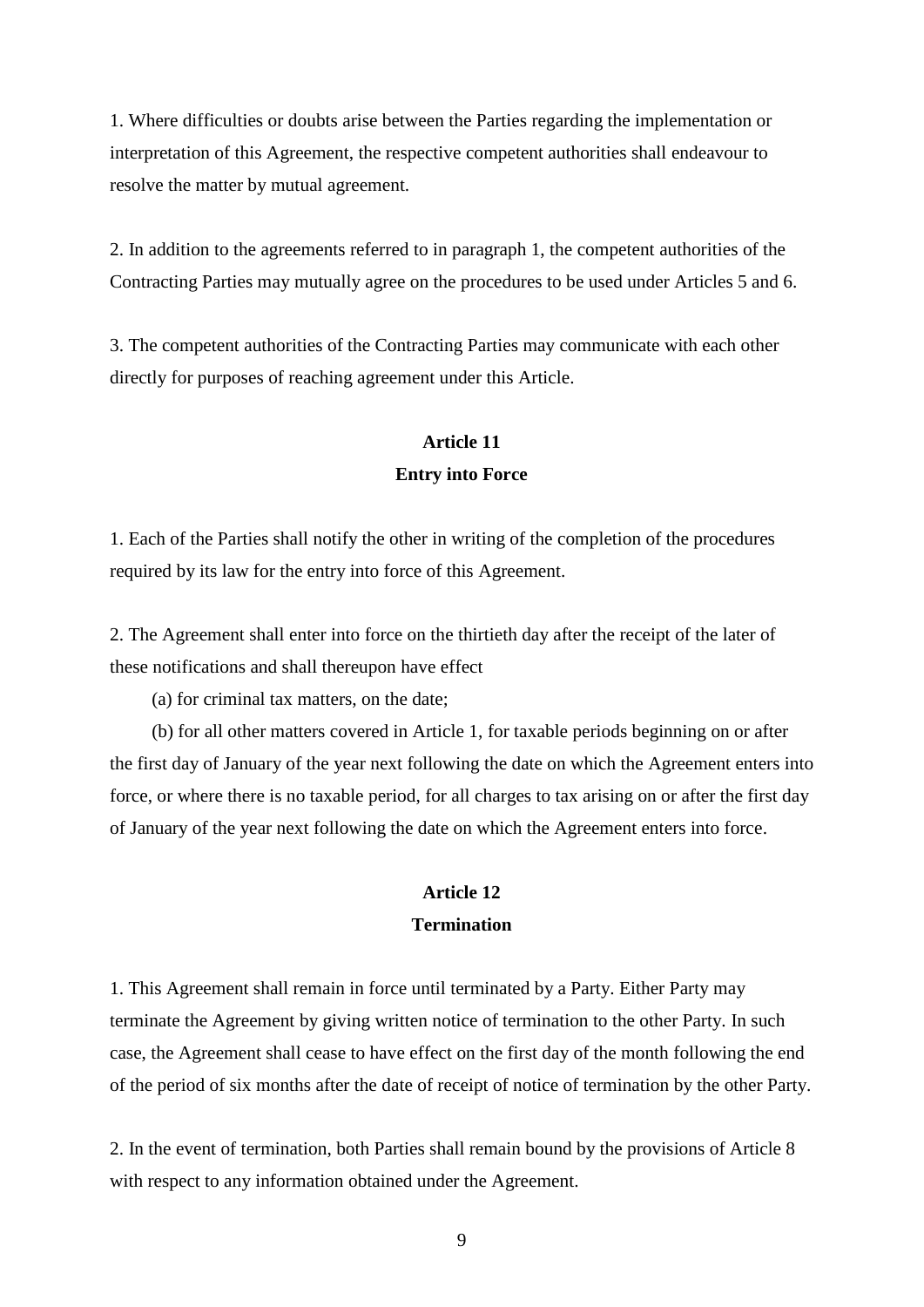1. Where difficulties or doubts arise between the Parties regarding the implementation or interpretation of this Agreement, the respective competent authorities shall endeavour to resolve the matter by mutual agreement.

2. In addition to the agreements referred to in paragraph 1, the competent authorities of the Contracting Parties may mutually agree on the procedures to be used under Articles 5 and 6.

3. The competent authorities of the Contracting Parties may communicate with each other directly for purposes of reaching agreement under this Article.

# **Article 11**

### **Entry into Force**

1. Each of the Parties shall notify the other in writing of the completion of the procedures required by its law for the entry into force of this Agreement.

2. The Agreement shall enter into force on the thirtieth day after the receipt of the later of these notifications and shall thereupon have effect

(a) for criminal tax matters, on the date;

(b) for all other matters covered in Article 1, for taxable periods beginning on or after the first day of January of the year next following the date on which the Agreement enters into force, or where there is no taxable period, for all charges to tax arising on or after the first day of January of the year next following the date on which the Agreement enters into force.

### **Article 12 Termination**

1. This Agreement shall remain in force until terminated by a Party. Either Party may terminate the Agreement by giving written notice of termination to the other Party. In such case, the Agreement shall cease to have effect on the first day of the month following the end of the period of six months after the date of receipt of notice of termination by the other Party.

2. In the event of termination, both Parties shall remain bound by the provisions of Article 8 with respect to any information obtained under the Agreement.